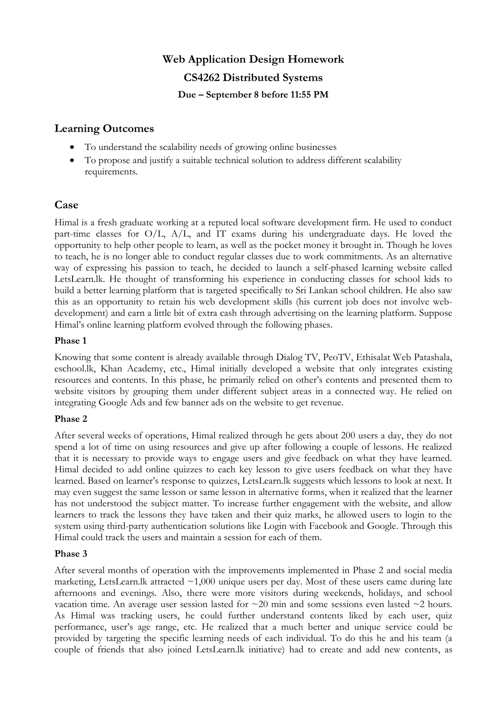# **Web Application Design Homework CS4262 Distributed Systems Due – September 8 before 11:55 PM**

### **Learning Outcomes**

- To understand the scalability needs of growing online businesses
- To propose and justify a suitable technical solution to address different scalability requirements.

#### **Case**

Himal is a fresh graduate working at a reputed local software development firm. He used to conduct part-time classes for O/L, A/L, and IT exams during his undergraduate days. He loved the opportunity to help other people to learn, as well as the pocket money it brought in. Though he loves to teach, he is no longer able to conduct regular classes due to work commitments. As an alternative way of expressing his passion to teach, he decided to launch a self-phased learning website called LetsLearn.lk. He thought of transforming his experience in conducting classes for school kids to build a better learning platform that is targeted specifically to Sri Lankan school children. He also saw this as an opportunity to retain his web development skills (his current job does not involve webdevelopment) and earn a little bit of extra cash through advertising on the learning platform. Suppose Himal's online learning platform evolved through the following phases.

#### **Phase 1**

Knowing that some content is already available through Dialog TV, PeoTV, Ethisalat Web Patashala, eschool.lk, Khan Academy, etc., Himal initially developed a website that only integrates existing resources and contents. In this phase, he primarily relied on other's contents and presented them to website visitors by grouping them under different subject areas in a connected way. He relied on integrating Google Ads and few banner ads on the website to get revenue.

#### **Phase 2**

After several weeks of operations, Himal realized through he gets about 200 users a day, they do not spend a lot of time on using resources and give up after following a couple of lessons. He realized that it is necessary to provide ways to engage users and give feedback on what they have learned. Himal decided to add online quizzes to each key lesson to give users feedback on what they have learned. Based on learner's response to quizzes, LetsLearn.lk suggests which lessons to look at next. It may even suggest the same lesson or same lesson in alternative forms, when it realized that the learner has not understood the subject matter. To increase further engagement with the website, and allow learners to track the lessons they have taken and their quiz marks, he allowed users to login to the system using third-party authentication solutions like Login with Facebook and Google. Through this Himal could track the users and maintain a session for each of them.

#### **Phase 3**

After several months of operation with the improvements implemented in Phase 2 and social media marketing, LetsLearn.lk attracted  $\sim$ 1,000 unique users per day. Most of these users came during late afternoons and evenings. Also, there were more visitors during weekends, holidays, and school vacation time. An average user session lasted for  $\sim$ 20 min and some sessions even lasted  $\sim$ 2 hours. As Himal was tracking users, he could further understand contents liked by each user, quiz performance, user's age range, etc. He realized that a much better and unique service could be provided by targeting the specific learning needs of each individual. To do this he and his team (a couple of friends that also joined LetsLearn.lk initiative) had to create and add new contents, as